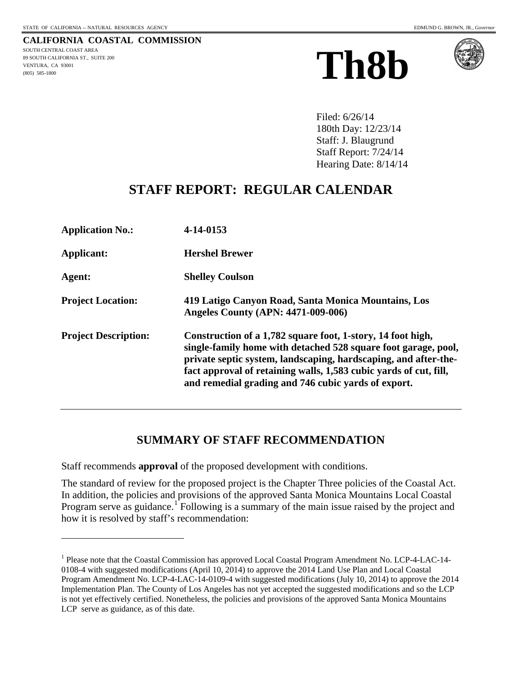$\overline{a}$ 

**CALIFORNIA COASTAL COMMISSION** SOUTH CENTRAL COAST AREA 89 SOUTH CALIFORNIA ST., SUITE 200 VENTURA, CA 93001 (805) 585-1800

# **Th8b**



Filed: 6/26/14 180th Day: 12/23/14 Staff: J. Blaugrund Staff Report: 7/24/14 Hearing Date: 8/14/14

# **STAFF REPORT: REGULAR CALENDAR**

| <b>Application No.:</b>     | 4-14-0153                                                                                                                                                                                                                                                                                                                    |
|-----------------------------|------------------------------------------------------------------------------------------------------------------------------------------------------------------------------------------------------------------------------------------------------------------------------------------------------------------------------|
| Applicant:                  | <b>Hershel Brewer</b>                                                                                                                                                                                                                                                                                                        |
| Agent:                      | <b>Shelley Coulson</b>                                                                                                                                                                                                                                                                                                       |
| <b>Project Location:</b>    | 419 Latigo Canyon Road, Santa Monica Mountains, Los<br><b>Angeles County (APN: 4471-009-006)</b>                                                                                                                                                                                                                             |
| <b>Project Description:</b> | Construction of a 1,782 square foot, 1-story, 14 foot high,<br>single-family home with detached 528 square foot garage, pool,<br>private septic system, landscaping, hardscaping, and after-the-<br>fact approval of retaining walls, 1,583 cubic yards of cut, fill,<br>and remedial grading and 746 cubic yards of export. |

# **SUMMARY OF STAFF RECOMMENDATION**

Staff recommends **approval** of the proposed development with conditions.

The standard of review for the proposed project is the Chapter Three policies of the Coastal Act. In addition, the policies and provisions of the approved Santa Monica Mountains Local Coastal Program serve as guidance.<sup>[1](#page-0-0)</sup> Following is a summary of the main issue raised by the project and how it is resolved by staff's recommendation:

<span id="page-0-0"></span><sup>1</sup> Please note that the Coastal Commission has approved Local Coastal Program Amendment No. LCP-4-LAC-14- 0108-4 with suggested modifications (April 10, 2014) to approve the 2014 Land Use Plan and Local Coastal Program Amendment No. LCP-4-LAC-14-0109-4 with suggested modifications (July 10, 2014) to approve the 2014 Implementation Plan. The County of Los Angeles has not yet accepted the suggested modifications and so the LCP is not yet effectively certified. Nonetheless, the policies and provisions of the approved Santa Monica Mountains LCP serve as guidance, as of this date.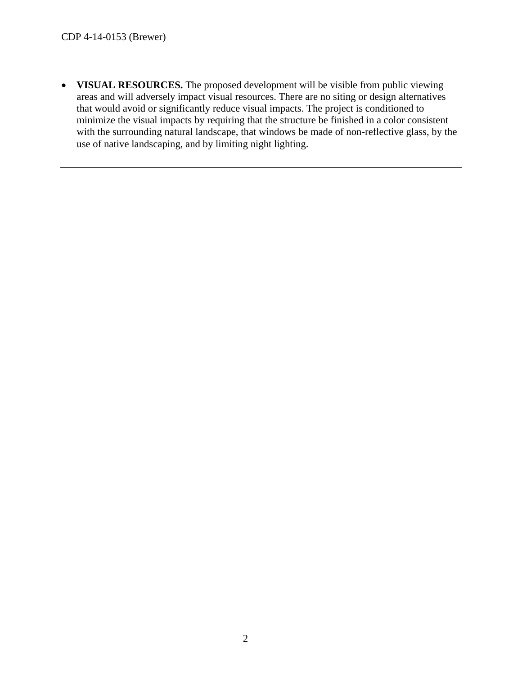• **VISUAL RESOURCES.** The proposed development will be visible from public viewing areas and will adversely impact visual resources. There are no siting or design alternatives that would avoid or significantly reduce visual impacts. The project is conditioned to minimize the visual impacts by requiring that the structure be finished in a color consistent with the surrounding natural landscape, that windows be made of non-reflective glass, by the use of native landscaping, and by limiting night lighting.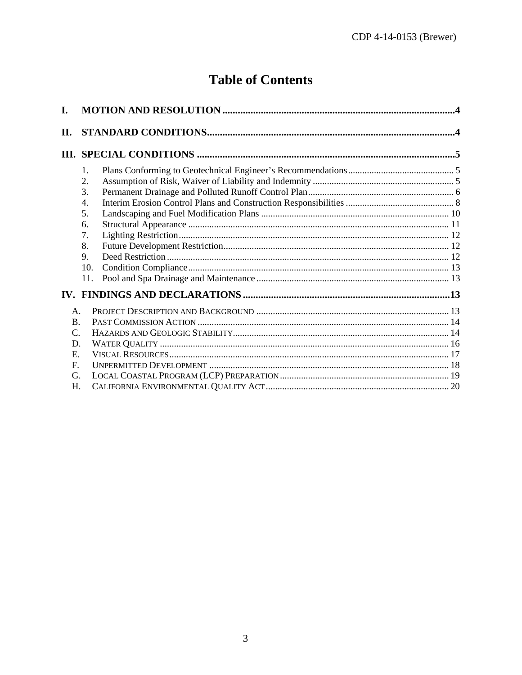# **Table of Contents**

| I.              |     |  |  |
|-----------------|-----|--|--|
| П.              |     |  |  |
|                 |     |  |  |
|                 | 1.  |  |  |
|                 | 2.  |  |  |
|                 | 3.  |  |  |
|                 | 4.  |  |  |
|                 | 5.  |  |  |
|                 | 6.  |  |  |
|                 | 7.  |  |  |
|                 | 8.  |  |  |
|                 | 9.  |  |  |
|                 | 10. |  |  |
|                 | 11. |  |  |
|                 |     |  |  |
| A.              |     |  |  |
| $\mathbf{B}$ .  |     |  |  |
| $\mathcal{C}$ . |     |  |  |
| D.              |     |  |  |
| E.              |     |  |  |
| $\mathbf{F}$    |     |  |  |
| G.              |     |  |  |
| Н.              |     |  |  |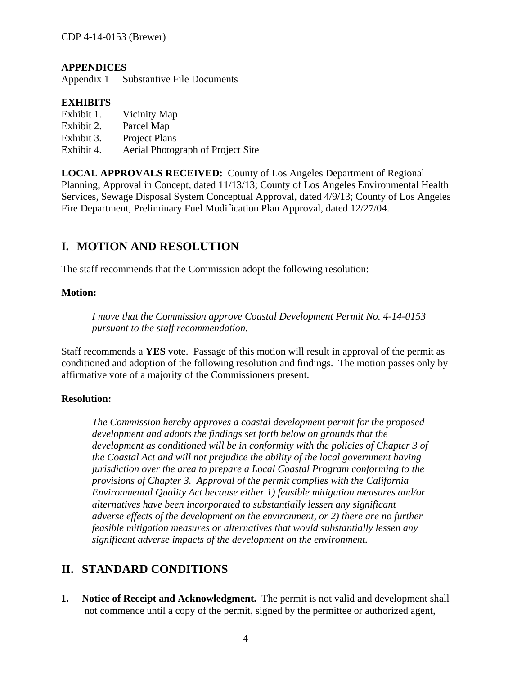#### **APPENDICES**

Appendix 1 Substantive File Documents

#### **EXHIBITS**

- Exhibit 1. Vicinity Map
- Exhibit 2. Parcel Map
- Exhibit 3. Project Plans
- Exhibit 4. Aerial Photograph of Project Site

**LOCAL APPROVALS RECEIVED:** County of Los Angeles Department of Regional Planning, Approval in Concept, dated 11/13/13; County of Los Angeles Environmental Health Services, Sewage Disposal System Conceptual Approval, dated 4/9/13; County of Los Angeles Fire Department, Preliminary Fuel Modification Plan Approval, dated 12/27/04.

## <span id="page-3-0"></span>**I. MOTION AND RESOLUTION**

The staff recommends that the Commission adopt the following resolution:

#### **Motion:**

*I move that the Commission approve Coastal Development Permit No. 4-14-0153 pursuant to the staff recommendation.*

Staff recommends a **YES** vote. Passage of this motion will result in approval of the permit as conditioned and adoption of the following resolution and findings. The motion passes only by affirmative vote of a majority of the Commissioners present.

#### **Resolution:**

*The Commission hereby approves a coastal development permit for the proposed development and adopts the findings set forth below on grounds that the development as conditioned will be in conformity with the policies of Chapter 3 of the Coastal Act and will not prejudice the ability of the local government having jurisdiction over the area to prepare a Local Coastal Program conforming to the provisions of Chapter 3. Approval of the permit complies with the California Environmental Quality Act because either 1) feasible mitigation measures and/or alternatives have been incorporated to substantially lessen any significant adverse effects of the development on the environment, or 2) there are no further feasible mitigation measures or alternatives that would substantially lessen any significant adverse impacts of the development on the environment.*

#### <span id="page-3-1"></span>**II. STANDARD CONDITIONS**

**1. Notice of Receipt and Acknowledgment.** The permit is not valid and development shall not commence until a copy of the permit, signed by the permittee or authorized agent,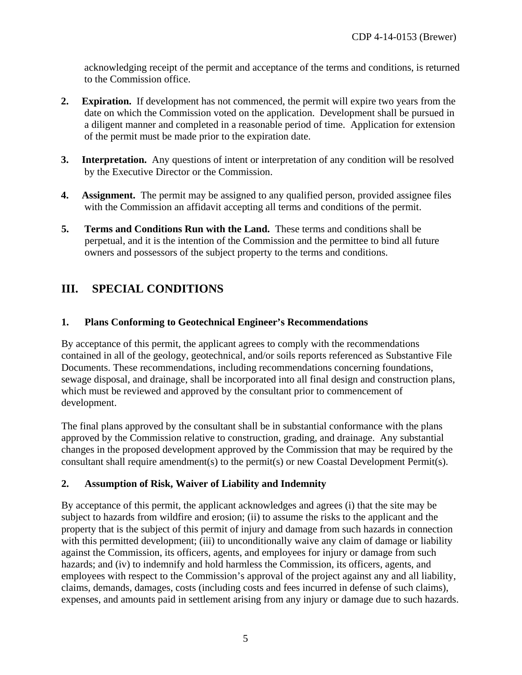acknowledging receipt of the permit and acceptance of the terms and conditions, is returned to the Commission office.

- **2. Expiration.** If development has not commenced, the permit will expire two years from the date on which the Commission voted on the application. Development shall be pursued in a diligent manner and completed in a reasonable period of time. Application for extension of the permit must be made prior to the expiration date.
- **3. Interpretation.** Any questions of intent or interpretation of any condition will be resolved by the Executive Director or the Commission.
- **4. Assignment.** The permit may be assigned to any qualified person, provided assignee files with the Commission an affidavit accepting all terms and conditions of the permit.
- **5. Terms and Conditions Run with the Land.** These terms and conditions shall be perpetual, and it is the intention of the Commission and the permittee to bind all future owners and possessors of the subject property to the terms and conditions.

## <span id="page-4-0"></span>**III. SPECIAL CONDITIONS**

#### <span id="page-4-1"></span>**1. Plans Conforming to Geotechnical Engineer's Recommendations**

By acceptance of this permit, the applicant agrees to comply with the recommendations contained in all of the geology, geotechnical, and/or soils reports referenced as Substantive File Documents. These recommendations, including recommendations concerning foundations, sewage disposal, and drainage, shall be incorporated into all final design and construction plans, which must be reviewed and approved by the consultant prior to commencement of development.

The final plans approved by the consultant shall be in substantial conformance with the plans approved by the Commission relative to construction, grading, and drainage. Any substantial changes in the proposed development approved by the Commission that may be required by the consultant shall require amendment(s) to the permit(s) or new Coastal Development Permit(s).

#### <span id="page-4-2"></span>**2. Assumption of Risk, Waiver of Liability and Indemnity**

By acceptance of this permit, the applicant acknowledges and agrees (i) that the site may be subject to hazards from wildfire and erosion; (ii) to assume the risks to the applicant and the property that is the subject of this permit of injury and damage from such hazards in connection with this permitted development; (iii) to unconditionally waive any claim of damage or liability against the Commission, its officers, agents, and employees for injury or damage from such hazards; and (iv) to indemnify and hold harmless the Commission, its officers, agents, and employees with respect to the Commission's approval of the project against any and all liability, claims, demands, damages, costs (including costs and fees incurred in defense of such claims), expenses, and amounts paid in settlement arising from any injury or damage due to such hazards.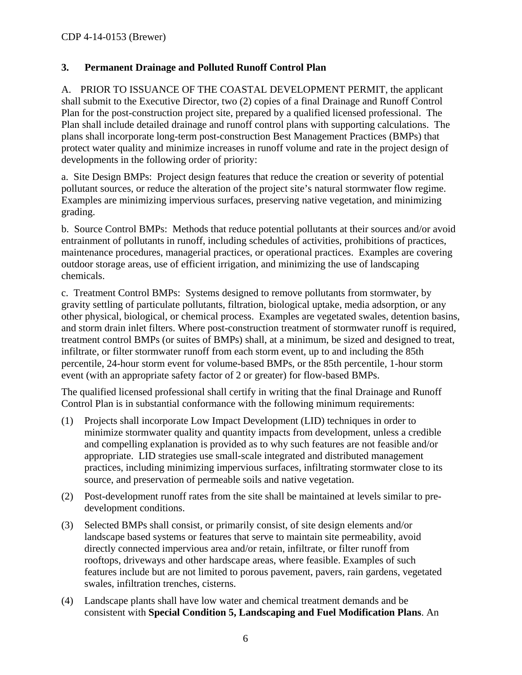#### <span id="page-5-0"></span>**3. Permanent Drainage and Polluted Runoff Control Plan**

A. PRIOR TO ISSUANCE OF THE COASTAL DEVELOPMENT PERMIT, the applicant shall submit to the Executive Director, two (2) copies of a final Drainage and Runoff Control Plan for the post-construction project site, prepared by a qualified licensed professional. The Plan shall include detailed drainage and runoff control plans with supporting calculations. The plans shall incorporate long-term post-construction Best Management Practices (BMPs) that protect water quality and minimize increases in runoff volume and rate in the project design of developments in the following order of priority:

a. Site Design BMPs: Project design features that reduce the creation or severity of potential pollutant sources, or reduce the alteration of the project site's natural stormwater flow regime. Examples are minimizing impervious surfaces, preserving native vegetation, and minimizing grading.

b. Source Control BMPs: Methods that reduce potential pollutants at their sources and/or avoid entrainment of pollutants in runoff, including schedules of activities, prohibitions of practices, maintenance procedures, managerial practices, or operational practices. Examples are covering outdoor storage areas, use of efficient irrigation, and minimizing the use of landscaping chemicals.

c. Treatment Control BMPs: Systems designed to remove pollutants from stormwater, by gravity settling of particulate pollutants, filtration, biological uptake, media adsorption, or any other physical, biological, or chemical process. Examples are vegetated swales, detention basins, and storm drain inlet filters. Where post-construction treatment of stormwater runoff is required, treatment control BMPs (or suites of BMPs) shall, at a minimum, be sized and designed to treat, infiltrate, or filter stormwater runoff from each storm event, up to and including the 85th percentile, 24-hour storm event for volume-based BMPs, or the 85th percentile, 1-hour storm event (with an appropriate safety factor of 2 or greater) for flow-based BMPs.

The qualified licensed professional shall certify in writing that the final Drainage and Runoff Control Plan is in substantial conformance with the following minimum requirements:

- (1) Projects shall incorporate Low Impact Development (LID) techniques in order to minimize stormwater quality and quantity impacts from development, unless a credible and compelling explanation is provided as to why such features are not feasible and/or appropriate. LID strategies use small-scale integrated and distributed management practices, including minimizing impervious surfaces, infiltrating stormwater close to its source, and preservation of permeable soils and native vegetation.
- (2) Post-development runoff rates from the site shall be maintained at levels similar to predevelopment conditions.
- (3) Selected BMPs shall consist, or primarily consist, of site design elements and/or landscape based systems or features that serve to maintain site permeability, avoid directly connected impervious area and/or retain, infiltrate, or filter runoff from rooftops, driveways and other hardscape areas, where feasible. Examples of such features include but are not limited to porous pavement, pavers, rain gardens, vegetated swales, infiltration trenches, cisterns.
- (4) Landscape plants shall have low water and chemical treatment demands and be consistent with **Special Condition 5, Landscaping and Fuel Modification Plans**. An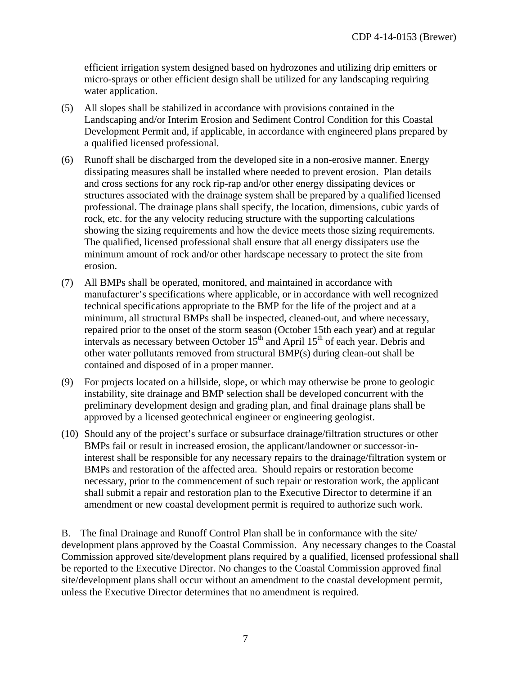efficient irrigation system designed based on hydrozones and utilizing drip emitters or micro-sprays or other efficient design shall be utilized for any landscaping requiring water application.

- (5) All slopes shall be stabilized in accordance with provisions contained in the Landscaping and/or Interim Erosion and Sediment Control Condition for this Coastal Development Permit and, if applicable, in accordance with engineered plans prepared by a qualified licensed professional.
- (6) Runoff shall be discharged from the developed site in a non-erosive manner. Energy dissipating measures shall be installed where needed to prevent erosion. Plan details and cross sections for any rock rip-rap and/or other energy dissipating devices or structures associated with the drainage system shall be prepared by a qualified licensed professional. The drainage plans shall specify, the location, dimensions, cubic yards of rock, etc. for the any velocity reducing structure with the supporting calculations showing the sizing requirements and how the device meets those sizing requirements. The qualified, licensed professional shall ensure that all energy dissipaters use the minimum amount of rock and/or other hardscape necessary to protect the site from erosion.
- (7) All BMPs shall be operated, monitored, and maintained in accordance with manufacturer's specifications where applicable, or in accordance with well recognized technical specifications appropriate to the BMP for the life of the project and at a minimum, all structural BMPs shall be inspected, cleaned-out, and where necessary, repaired prior to the onset of the storm season (October 15th each year) and at regular intervals as necessary between October  $15<sup>th</sup>$  and April  $15<sup>th</sup>$  of each year. Debris and other water pollutants removed from structural BMP(s) during clean-out shall be contained and disposed of in a proper manner.
- (9) For projects located on a hillside, slope, or which may otherwise be prone to geologic instability, site drainage and BMP selection shall be developed concurrent with the preliminary development design and grading plan, and final drainage plans shall be approved by a licensed geotechnical engineer or engineering geologist.
- (10) Should any of the project's surface or subsurface drainage/filtration structures or other BMPs fail or result in increased erosion, the applicant/landowner or successor-ininterest shall be responsible for any necessary repairs to the drainage/filtration system or BMPs and restoration of the affected area. Should repairs or restoration become necessary, prior to the commencement of such repair or restoration work, the applicant shall submit a repair and restoration plan to the Executive Director to determine if an amendment or new coastal development permit is required to authorize such work.

B. The final Drainage and Runoff Control Plan shall be in conformance with the site/ development plans approved by the Coastal Commission. Any necessary changes to the Coastal Commission approved site/development plans required by a qualified, licensed professional shall be reported to the Executive Director. No changes to the Coastal Commission approved final site/development plans shall occur without an amendment to the coastal development permit, unless the Executive Director determines that no amendment is required.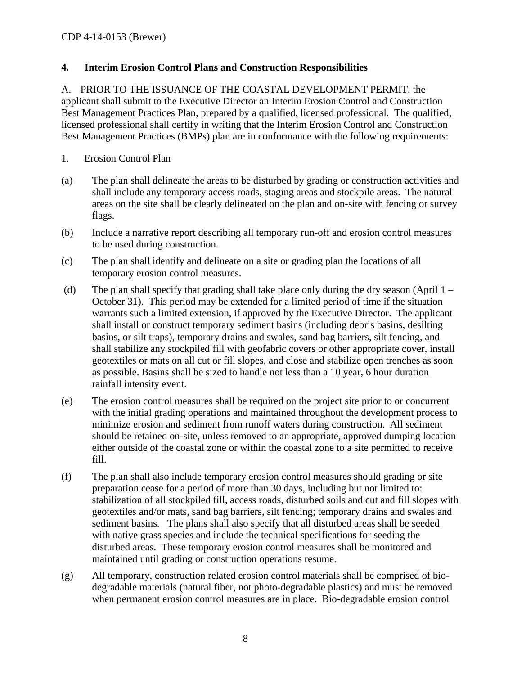#### <span id="page-7-0"></span>**4. Interim Erosion Control Plans and Construction Responsibilities**

A. PRIOR TO THE ISSUANCE OF THE COASTAL DEVELOPMENT PERMIT, the applicant shall submit to the Executive Director an Interim Erosion Control and Construction Best Management Practices Plan, prepared by a qualified, licensed professional. The qualified, licensed professional shall certify in writing that the Interim Erosion Control and Construction Best Management Practices (BMPs) plan are in conformance with the following requirements:

- 1. Erosion Control Plan
- (a) The plan shall delineate the areas to be disturbed by grading or construction activities and shall include any temporary access roads, staging areas and stockpile areas. The natural areas on the site shall be clearly delineated on the plan and on-site with fencing or survey flags.
- (b) Include a narrative report describing all temporary run-off and erosion control measures to be used during construction.
- (c) The plan shall identify and delineate on a site or grading plan the locations of all temporary erosion control measures.
- (d) The plan shall specify that grading shall take place only during the dry season (April 1 October 31). This period may be extended for a limited period of time if the situation warrants such a limited extension, if approved by the Executive Director. The applicant shall install or construct temporary sediment basins (including debris basins, desilting basins, or silt traps), temporary drains and swales, sand bag barriers, silt fencing, and shall stabilize any stockpiled fill with geofabric covers or other appropriate cover, install geotextiles or mats on all cut or fill slopes, and close and stabilize open trenches as soon as possible. Basins shall be sized to handle not less than a 10 year, 6 hour duration rainfall intensity event.
- (e) The erosion control measures shall be required on the project site prior to or concurrent with the initial grading operations and maintained throughout the development process to minimize erosion and sediment from runoff waters during construction. All sediment should be retained on-site, unless removed to an appropriate, approved dumping location either outside of the coastal zone or within the coastal zone to a site permitted to receive fill.
- (f) The plan shall also include temporary erosion control measures should grading or site preparation cease for a period of more than 30 days, including but not limited to: stabilization of all stockpiled fill, access roads, disturbed soils and cut and fill slopes with geotextiles and/or mats, sand bag barriers, silt fencing; temporary drains and swales and sediment basins. The plans shall also specify that all disturbed areas shall be seeded with native grass species and include the technical specifications for seeding the disturbed areas. These temporary erosion control measures shall be monitored and maintained until grading or construction operations resume.
- (g) All temporary, construction related erosion control materials shall be comprised of biodegradable materials (natural fiber, not photo-degradable plastics) and must be removed when permanent erosion control measures are in place. Bio-degradable erosion control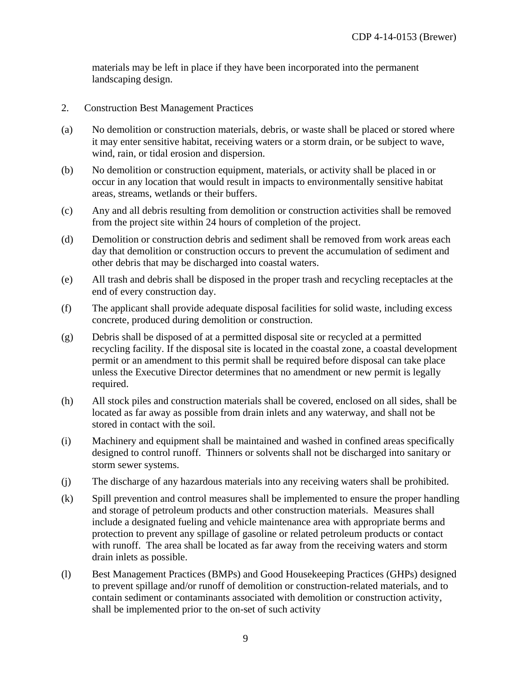materials may be left in place if they have been incorporated into the permanent landscaping design.

- 2. Construction Best Management Practices
- (a) No demolition or construction materials, debris, or waste shall be placed or stored where it may enter sensitive habitat, receiving waters or a storm drain, or be subject to wave, wind, rain, or tidal erosion and dispersion.
- (b) No demolition or construction equipment, materials, or activity shall be placed in or occur in any location that would result in impacts to environmentally sensitive habitat areas, streams, wetlands or their buffers.
- (c) Any and all debris resulting from demolition or construction activities shall be removed from the project site within 24 hours of completion of the project.
- (d) Demolition or construction debris and sediment shall be removed from work areas each day that demolition or construction occurs to prevent the accumulation of sediment and other debris that may be discharged into coastal waters.
- (e) All trash and debris shall be disposed in the proper trash and recycling receptacles at the end of every construction day.
- (f) The applicant shall provide adequate disposal facilities for solid waste, including excess concrete, produced during demolition or construction.
- (g) Debris shall be disposed of at a permitted disposal site or recycled at a permitted recycling facility. If the disposal site is located in the coastal zone, a coastal development permit or an amendment to this permit shall be required before disposal can take place unless the Executive Director determines that no amendment or new permit is legally required.
- (h) All stock piles and construction materials shall be covered, enclosed on all sides, shall be located as far away as possible from drain inlets and any waterway, and shall not be stored in contact with the soil.
- (i) Machinery and equipment shall be maintained and washed in confined areas specifically designed to control runoff. Thinners or solvents shall not be discharged into sanitary or storm sewer systems.
- (j) The discharge of any hazardous materials into any receiving waters shall be prohibited.
- (k) Spill prevention and control measures shall be implemented to ensure the proper handling and storage of petroleum products and other construction materials. Measures shall include a designated fueling and vehicle maintenance area with appropriate berms and protection to prevent any spillage of gasoline or related petroleum products or contact with runoff. The area shall be located as far away from the receiving waters and storm drain inlets as possible.
- (l) Best Management Practices (BMPs) and Good Housekeeping Practices (GHPs) designed to prevent spillage and/or runoff of demolition or construction-related materials, and to contain sediment or contaminants associated with demolition or construction activity, shall be implemented prior to the on-set of such activity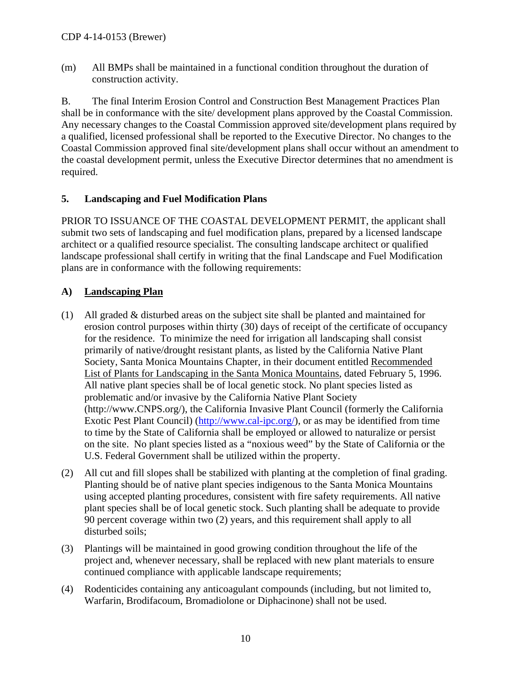(m) All BMPs shall be maintained in a functional condition throughout the duration of construction activity.

B. The final Interim Erosion Control and Construction Best Management Practices Plan shall be in conformance with the site/ development plans approved by the Coastal Commission. Any necessary changes to the Coastal Commission approved site/development plans required by a qualified, licensed professional shall be reported to the Executive Director. No changes to the Coastal Commission approved final site/development plans shall occur without an amendment to the coastal development permit, unless the Executive Director determines that no amendment is required.

#### <span id="page-9-0"></span>**5. Landscaping and Fuel Modification Plans**

PRIOR TO ISSUANCE OF THE COASTAL DEVELOPMENT PERMIT, the applicant shall submit two sets of landscaping and fuel modification plans, prepared by a licensed landscape architect or a qualified resource specialist. The consulting landscape architect or qualified landscape professional shall certify in writing that the final Landscape and Fuel Modification plans are in conformance with the following requirements:

#### **A) Landscaping Plan**

- (1) All graded & disturbed areas on the subject site shall be planted and maintained for erosion control purposes within thirty (30) days of receipt of the certificate of occupancy for the residence. To minimize the need for irrigation all landscaping shall consist primarily of native/drought resistant plants, as listed by the California Native Plant Society, Santa Monica Mountains Chapter, in their document entitled Recommended List of Plants for Landscaping in the Santa Monica Mountains, dated February 5, 1996. All native plant species shall be of local genetic stock. No plant species listed as problematic and/or invasive by the California Native Plant Society [\(http://www.CNPS.org/\)](http://www.cnps.org/), the California Invasive Plant Council (formerly the California Exotic Pest Plant Council) [\(http://www.cal-ipc.org/\)](http://www.cal-ipc.org/), or as may be identified from time to time by the State of California shall be employed or allowed to naturalize or persist on the site. No plant species listed as a "noxious weed" by the State of California or the U.S. Federal Government shall be utilized within the property.
- (2) All cut and fill slopes shall be stabilized with planting at the completion of final grading. Planting should be of native plant species indigenous to the Santa Monica Mountains using accepted planting procedures, consistent with fire safety requirements. All native plant species shall be of local genetic stock. Such planting shall be adequate to provide 90 percent coverage within two (2) years, and this requirement shall apply to all disturbed soils;
- (3) Plantings will be maintained in good growing condition throughout the life of the project and, whenever necessary, shall be replaced with new plant materials to ensure continued compliance with applicable landscape requirements;
- (4) Rodenticides containing any anticoagulant compounds (including, but not limited to, Warfarin, Brodifacoum, Bromadiolone or Diphacinone) shall not be used.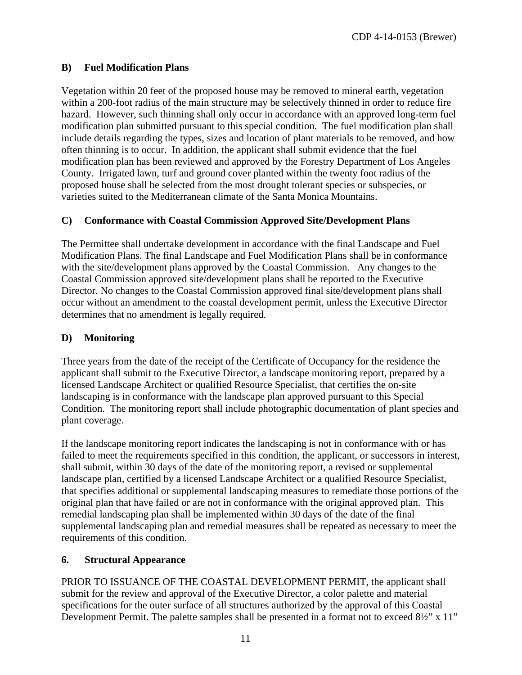#### **B) Fuel Modification Plans**

Vegetation within 20 feet of the proposed house may be removed to mineral earth, vegetation within a 200-foot radius of the main structure may be selectively thinned in order to reduce fire hazard. However, such thinning shall only occur in accordance with an approved long-term fuel modification plan submitted pursuant to this special condition. The fuel modification plan shall include details regarding the types, sizes and location of plant materials to be removed, and how often thinning is to occur. In addition, the applicant shall submit evidence that the fuel modification plan has been reviewed and approved by the Forestry Department of Los Angeles County. Irrigated lawn, turf and ground cover planted within the twenty foot radius of the proposed house shall be selected from the most drought tolerant species or subspecies, or varieties suited to the Mediterranean climate of the Santa Monica Mountains.

#### **C) Conformance with Coastal Commission Approved Site/Development Plans**

The Permittee shall undertake development in accordance with the final Landscape and Fuel Modification Plans. The final Landscape and Fuel Modification Plans shall be in conformance with the site/development plans approved by the Coastal Commission. Any changes to the Coastal Commission approved site/development plans shall be reported to the Executive Director. No changes to the Coastal Commission approved final site/development plans shall occur without an amendment to the coastal development permit, unless the Executive Director determines that no amendment is legally required.

#### **D) Monitoring**

Three years from the date of the receipt of the Certificate of Occupancy for the residence the applicant shall submit to the Executive Director, a landscape monitoring report, prepared by a licensed Landscape Architect or qualified Resource Specialist, that certifies the on-site landscaping is in conformance with the landscape plan approved pursuant to this Special Condition. The monitoring report shall include photographic documentation of plant species and plant coverage.

If the landscape monitoring report indicates the landscaping is not in conformance with or has failed to meet the requirements specified in this condition, the applicant, or successors in interest, shall submit, within 30 days of the date of the monitoring report, a revised or supplemental landscape plan, certified by a licensed Landscape Architect or a qualified Resource Specialist, that specifies additional or supplemental landscaping measures to remediate those portions of the original plan that have failed or are not in conformance with the original approved plan. This remedial landscaping plan shall be implemented within 30 days of the date of the final supplemental landscaping plan and remedial measures shall be repeated as necessary to meet the requirements of this condition.

#### <span id="page-10-0"></span>**6. Structural Appearance**

PRIOR TO ISSUANCE OF THE COASTAL DEVELOPMENT PERMIT, the applicant shall submit for the review and approval of the Executive Director, a color palette and material specifications for the outer surface of all structures authorized by the approval of this Coastal Development Permit. The palette samples shall be presented in a format not to exceed 8½" x 11"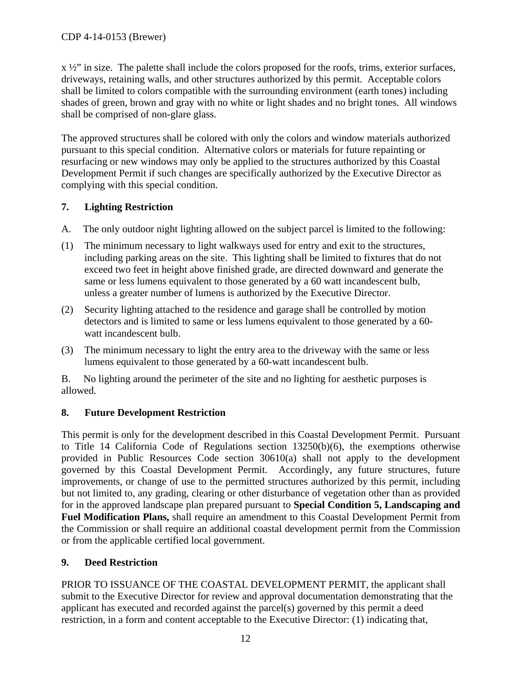$x \frac{1}{2}$ " in size. The palette shall include the colors proposed for the roofs, trims, exterior surfaces, driveways, retaining walls, and other structures authorized by this permit. Acceptable colors shall be limited to colors compatible with the surrounding environment (earth tones) including shades of green, brown and gray with no white or light shades and no bright tones. All windows shall be comprised of non-glare glass.

The approved structures shall be colored with only the colors and window materials authorized pursuant to this special condition. Alternative colors or materials for future repainting or resurfacing or new windows may only be applied to the structures authorized by this Coastal Development Permit if such changes are specifically authorized by the Executive Director as complying with this special condition.

### <span id="page-11-0"></span>**7. Lighting Restriction**

- A. The only outdoor night lighting allowed on the subject parcel is limited to the following:
- (1) The minimum necessary to light walkways used for entry and exit to the structures, including parking areas on the site. This lighting shall be limited to fixtures that do not exceed two feet in height above finished grade, are directed downward and generate the same or less lumens equivalent to those generated by a 60 watt incandescent bulb, unless a greater number of lumens is authorized by the Executive Director.
- (2) Security lighting attached to the residence and garage shall be controlled by motion detectors and is limited to same or less lumens equivalent to those generated by a 60 watt incandescent bulb.
- (3) The minimum necessary to light the entry area to the driveway with the same or less lumens equivalent to those generated by a 60-watt incandescent bulb.

B. No lighting around the perimeter of the site and no lighting for aesthetic purposes is allowed.

## <span id="page-11-1"></span>**8. Future Development Restriction**

This permit is only for the development described in this Coastal Development Permit. Pursuant to Title 14 California Code of Regulations section 13250(b)(6), the exemptions otherwise provided in Public Resources Code section 30610(a) shall not apply to the development governed by this Coastal Development Permit. Accordingly, any future structures, future improvements, or change of use to the permitted structures authorized by this permit, including but not limited to, any grading, clearing or other disturbance of vegetation other than as provided for in the approved landscape plan prepared pursuant to **Special Condition 5, Landscaping and Fuel Modification Plans,** shall require an amendment to this Coastal Development Permit from the Commission or shall require an additional coastal development permit from the Commission or from the applicable certified local government.

## <span id="page-11-2"></span>**9. Deed Restriction**

PRIOR TO ISSUANCE OF THE COASTAL DEVELOPMENT PERMIT, the applicant shall submit to the Executive Director for review and approval documentation demonstrating that the applicant has executed and recorded against the parcel(s) governed by this permit a deed restriction, in a form and content acceptable to the Executive Director: (1) indicating that,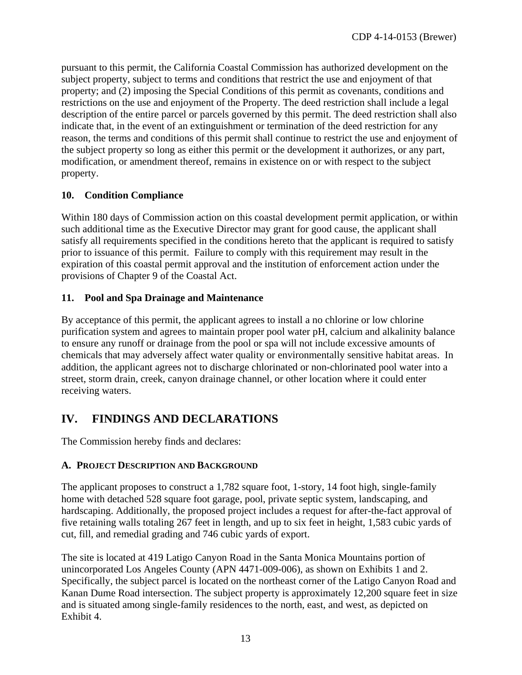pursuant to this permit, the California Coastal Commission has authorized development on the subject property, subject to terms and conditions that restrict the use and enjoyment of that property; and (2) imposing the Special Conditions of this permit as covenants, conditions and restrictions on the use and enjoyment of the Property. The deed restriction shall include a legal description of the entire parcel or parcels governed by this permit. The deed restriction shall also indicate that, in the event of an extinguishment or termination of the deed restriction for any reason, the terms and conditions of this permit shall continue to restrict the use and enjoyment of the subject property so long as either this permit or the development it authorizes, or any part, modification, or amendment thereof, remains in existence on or with respect to the subject property.

#### <span id="page-12-0"></span>**10. Condition Compliance**

Within 180 days of Commission action on this coastal development permit application, or within such additional time as the Executive Director may grant for good cause, the applicant shall satisfy all requirements specified in the conditions hereto that the applicant is required to satisfy prior to issuance of this permit. Failure to comply with this requirement may result in the expiration of this coastal permit approval and the institution of enforcement action under the provisions of Chapter 9 of the Coastal Act.

#### <span id="page-12-1"></span>**11. Pool and Spa Drainage and Maintenance**

By acceptance of this permit, the applicant agrees to install a no chlorine or low chlorine purification system and agrees to maintain proper pool water pH, calcium and alkalinity balance to ensure any runoff or drainage from the pool or spa will not include excessive amounts of chemicals that may adversely affect water quality or environmentally sensitive habitat areas. In addition, the applicant agrees not to discharge chlorinated or non-chlorinated pool water into a street, storm drain, creek, canyon drainage channel, or other location where it could enter receiving waters.

# <span id="page-12-2"></span>**IV. FINDINGS AND DECLARATIONS**

The Commission hereby finds and declares:

#### <span id="page-12-3"></span>**A. PROJECT DESCRIPTION AND BACKGROUND**

The applicant proposes to construct a 1,782 square foot, 1-story, 14 foot high, single-family home with detached 528 square foot garage, pool, private septic system, landscaping, and hardscaping. Additionally, the proposed project includes a request for after-the-fact approval of five retaining walls totaling 267 feet in length, and up to six feet in height, 1,583 cubic yards of cut, fill, and remedial grading and 746 cubic yards of export.

The site is located at 419 Latigo Canyon Road in the Santa Monica Mountains portion of unincorporated Los Angeles County (APN 4471-009-006), as shown on Exhibits 1 and 2. Specifically, the subject parcel is located on the northeast corner of the Latigo Canyon Road and Kanan Dume Road intersection. The subject property is approximately 12,200 square feet in size and is situated among single-family residences to the north, east, and west, as depicted on Exhibit 4.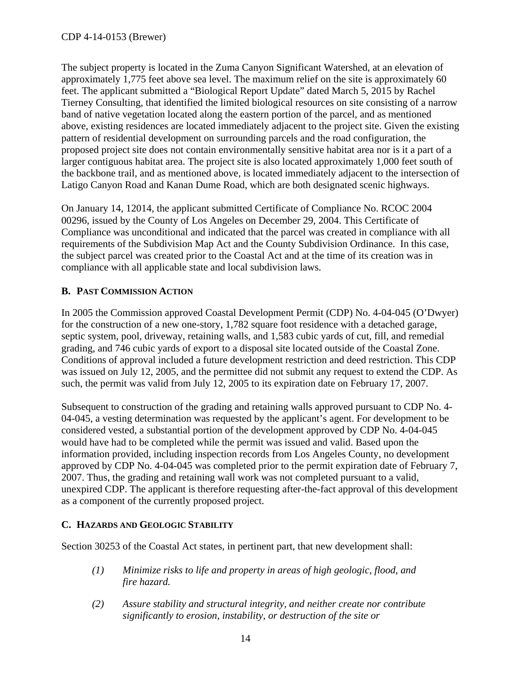The subject property is located in the Zuma Canyon Significant Watershed, at an elevation of approximately 1,775 feet above sea level. The maximum relief on the site is approximately 60 feet. The applicant submitted a "Biological Report Update" dated March 5, 2015 by Rachel Tierney Consulting, that identified the limited biological resources on site consisting of a narrow band of native vegetation located along the eastern portion of the parcel, and as mentioned above, existing residences are located immediately adjacent to the project site. Given the existing pattern of residential development on surrounding parcels and the road configuration, the proposed project site does not contain environmentally sensitive habitat area nor is it a part of a larger contiguous habitat area. The project site is also located approximately 1,000 feet south of the backbone trail, and as mentioned above, is located immediately adjacent to the intersection of Latigo Canyon Road and Kanan Dume Road, which are both designated scenic highways.

On January 14, 12014, the applicant submitted Certificate of Compliance No. RCOC 2004 00296, issued by the County of Los Angeles on December 29, 2004. This Certificate of Compliance was unconditional and indicated that the parcel was created in compliance with all requirements of the Subdivision Map Act and the County Subdivision Ordinance. In this case, the subject parcel was created prior to the Coastal Act and at the time of its creation was in compliance with all applicable state and local subdivision laws.

#### <span id="page-13-0"></span>**B. PAST COMMISSION ACTION**

In 2005 the Commission approved Coastal Development Permit (CDP) No. 4-04-045 (O'Dwyer) for the construction of a new one-story, 1,782 square foot residence with a detached garage, septic system, pool, driveway, retaining walls, and 1,583 cubic yards of cut, fill, and remedial grading, and 746 cubic yards of export to a disposal site located outside of the Coastal Zone. Conditions of approval included a future development restriction and deed restriction. This CDP was issued on July 12, 2005, and the permittee did not submit any request to extend the CDP. As such, the permit was valid from July 12, 2005 to its expiration date on February 17, 2007.

Subsequent to construction of the grading and retaining walls approved pursuant to CDP No. 4- 04-045, a vesting determination was requested by the applicant's agent. For development to be considered vested, a substantial portion of the development approved by CDP No. 4-04-045 would have had to be completed while the permit was issued and valid. Based upon the information provided, including inspection records from Los Angeles County, no development approved by CDP No. 4-04-045 was completed prior to the permit expiration date of February 7, 2007. Thus, the grading and retaining wall work was not completed pursuant to a valid, unexpired CDP. The applicant is therefore requesting after-the-fact approval of this development as a component of the currently proposed project.

#### <span id="page-13-1"></span>**C. HAZARDS AND GEOLOGIC STABILITY**

Section 30253 of the Coastal Act states, in pertinent part, that new development shall:

- *(1) Minimize risks to life and property in areas of high geologic, flood, and fire hazard.*
- *(2) Assure stability and structural integrity, and neither create nor contribute significantly to erosion, instability, or destruction of the site or*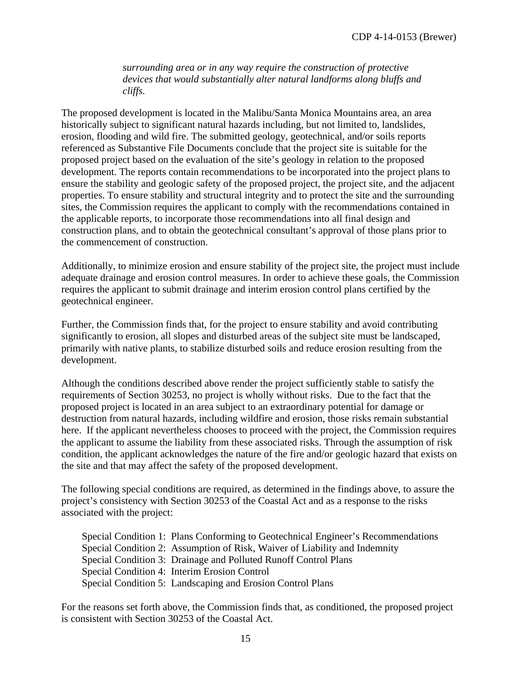*surrounding area or in any way require the construction of protective devices that would substantially alter natural landforms along bluffs and cliffs.*

The proposed development is located in the Malibu/Santa Monica Mountains area, an area historically subject to significant natural hazards including, but not limited to, landslides, erosion, flooding and wild fire. The submitted geology, geotechnical, and/or soils reports referenced as Substantive File Documents conclude that the project site is suitable for the proposed project based on the evaluation of the site's geology in relation to the proposed development. The reports contain recommendations to be incorporated into the project plans to ensure the stability and geologic safety of the proposed project, the project site, and the adjacent properties. To ensure stability and structural integrity and to protect the site and the surrounding sites, the Commission requires the applicant to comply with the recommendations contained in the applicable reports, to incorporate those recommendations into all final design and construction plans, and to obtain the geotechnical consultant's approval of those plans prior to the commencement of construction.

Additionally, to minimize erosion and ensure stability of the project site, the project must include adequate drainage and erosion control measures. In order to achieve these goals, the Commission requires the applicant to submit drainage and interim erosion control plans certified by the geotechnical engineer.

Further, the Commission finds that, for the project to ensure stability and avoid contributing significantly to erosion, all slopes and disturbed areas of the subject site must be landscaped, primarily with native plants, to stabilize disturbed soils and reduce erosion resulting from the development.

Although the conditions described above render the project sufficiently stable to satisfy the requirements of Section 30253, no project is wholly without risks. Due to the fact that the proposed project is located in an area subject to an extraordinary potential for damage or destruction from natural hazards, including wildfire and erosion, those risks remain substantial here. If the applicant nevertheless chooses to proceed with the project, the Commission requires the applicant to assume the liability from these associated risks. Through the assumption of risk condition, the applicant acknowledges the nature of the fire and/or geologic hazard that exists on the site and that may affect the safety of the proposed development.

The following special conditions are required, as determined in the findings above, to assure the project's consistency with Section 30253 of the Coastal Act and as a response to the risks associated with the project:

Special Condition 1: Plans Conforming to Geotechnical Engineer's Recommendations Special Condition 2: Assumption of Risk, Waiver of Liability and Indemnity Special Condition 3: Drainage and Polluted Runoff Control Plans Special Condition 4: Interim Erosion Control Special Condition 5: Landscaping and Erosion Control Plans

For the reasons set forth above, the Commission finds that, as conditioned, the proposed project is consistent with Section 30253 of the Coastal Act.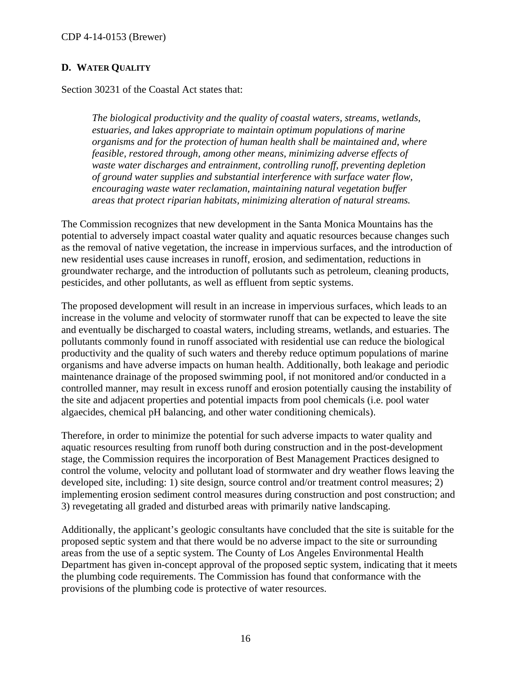#### <span id="page-15-0"></span>**D. WATER QUALITY**

Section 30231 of the Coastal Act states that:

*The biological productivity and the quality of coastal waters, streams, wetlands, estuaries, and lakes appropriate to maintain optimum populations of marine organisms and for the protection of human health shall be maintained and, where feasible, restored through, among other means, minimizing adverse effects of waste water discharges and entrainment, controlling runoff, preventing depletion of ground water supplies and substantial interference with surface water flow, encouraging waste water reclamation, maintaining natural vegetation buffer areas that protect riparian habitats, minimizing alteration of natural streams.*

The Commission recognizes that new development in the Santa Monica Mountains has the potential to adversely impact coastal water quality and aquatic resources because changes such as the removal of native vegetation, the increase in impervious surfaces, and the introduction of new residential uses cause increases in runoff, erosion, and sedimentation, reductions in groundwater recharge, and the introduction of pollutants such as petroleum, cleaning products, pesticides, and other pollutants, as well as effluent from septic systems.

The proposed development will result in an increase in impervious surfaces, which leads to an increase in the volume and velocity of stormwater runoff that can be expected to leave the site and eventually be discharged to coastal waters, including streams, wetlands, and estuaries. The pollutants commonly found in runoff associated with residential use can reduce the biological productivity and the quality of such waters and thereby reduce optimum populations of marine organisms and have adverse impacts on human health. Additionally, both leakage and periodic maintenance drainage of the proposed swimming pool, if not monitored and/or conducted in a controlled manner, may result in excess runoff and erosion potentially causing the instability of the site and adjacent properties and potential impacts from pool chemicals (i.e. pool water algaecides, chemical pH balancing, and other water conditioning chemicals).

Therefore, in order to minimize the potential for such adverse impacts to water quality and aquatic resources resulting from runoff both during construction and in the post-development stage, the Commission requires the incorporation of Best Management Practices designed to control the volume, velocity and pollutant load of stormwater and dry weather flows leaving the developed site, including: 1) site design, source control and/or treatment control measures; 2) implementing erosion sediment control measures during construction and post construction; and 3) revegetating all graded and disturbed areas with primarily native landscaping.

Additionally, the applicant's geologic consultants have concluded that the site is suitable for the proposed septic system and that there would be no adverse impact to the site or surrounding areas from the use of a septic system. The County of Los Angeles Environmental Health Department has given in-concept approval of the proposed septic system, indicating that it meets the plumbing code requirements. The Commission has found that conformance with the provisions of the plumbing code is protective of water resources.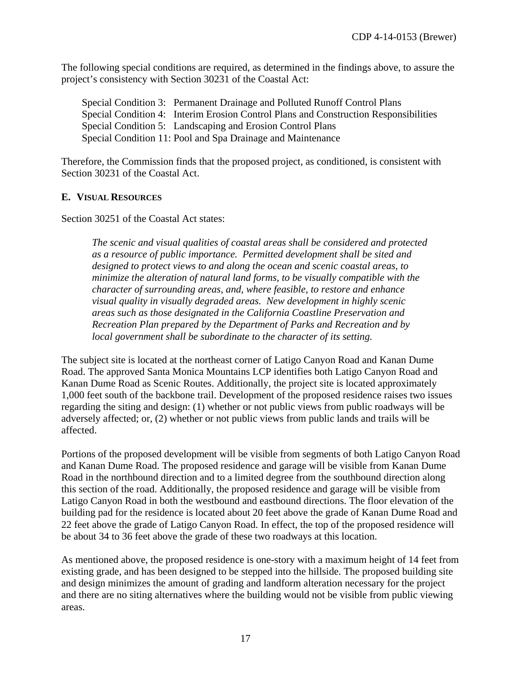The following special conditions are required, as determined in the findings above, to assure the project's consistency with Section 30231 of the Coastal Act:

Special Condition 3: Permanent Drainage and Polluted Runoff Control Plans Special Condition 4: Interim Erosion Control Plans and Construction Responsibilities Special Condition 5: Landscaping and Erosion Control Plans Special Condition 11: Pool and Spa Drainage and Maintenance

Therefore, the Commission finds that the proposed project, as conditioned, is consistent with Section 30231 of the Coastal Act.

#### <span id="page-16-0"></span>**E. VISUAL RESOURCES**

Section 30251 of the Coastal Act states:

*The scenic and visual qualities of coastal areas shall be considered and protected as a resource of public importance. Permitted development shall be sited and designed to protect views to and along the ocean and scenic coastal areas, to minimize the alteration of natural land forms, to be visually compatible with the character of surrounding areas, and, where feasible, to restore and enhance visual quality in visually degraded areas. New development in highly scenic areas such as those designated in the California Coastline Preservation and Recreation Plan prepared by the Department of Parks and Recreation and by local government shall be subordinate to the character of its setting.*

The subject site is located at the northeast corner of Latigo Canyon Road and Kanan Dume Road. The approved Santa Monica Mountains LCP identifies both Latigo Canyon Road and Kanan Dume Road as Scenic Routes. Additionally, the project site is located approximately 1,000 feet south of the backbone trail. Development of the proposed residence raises two issues regarding the siting and design: (1) whether or not public views from public roadways will be adversely affected; or, (2) whether or not public views from public lands and trails will be affected.

Portions of the proposed development will be visible from segments of both Latigo Canyon Road and Kanan Dume Road. The proposed residence and garage will be visible from Kanan Dume Road in the northbound direction and to a limited degree from the southbound direction along this section of the road. Additionally, the proposed residence and garage will be visible from Latigo Canyon Road in both the westbound and eastbound directions. The floor elevation of the building pad for the residence is located about 20 feet above the grade of Kanan Dume Road and 22 feet above the grade of Latigo Canyon Road. In effect, the top of the proposed residence will be about 34 to 36 feet above the grade of these two roadways at this location.

As mentioned above, the proposed residence is one-story with a maximum height of 14 feet from existing grade, and has been designed to be stepped into the hillside. The proposed building site and design minimizes the amount of grading and landform alteration necessary for the project and there are no siting alternatives where the building would not be visible from public viewing areas.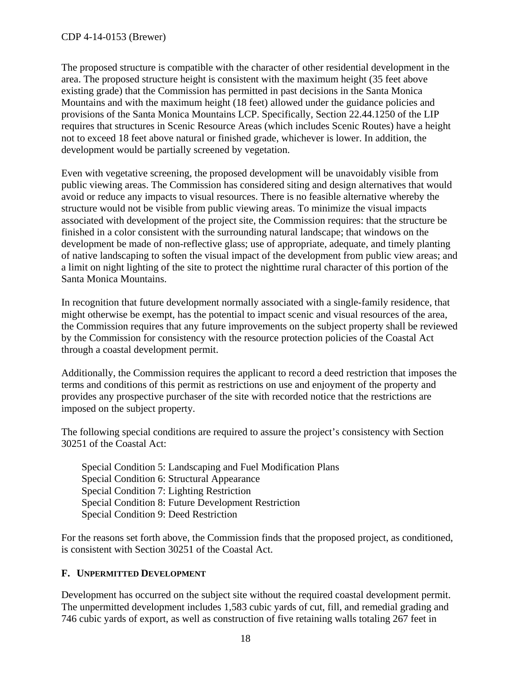The proposed structure is compatible with the character of other residential development in the area. The proposed structure height is consistent with the maximum height (35 feet above existing grade) that the Commission has permitted in past decisions in the Santa Monica Mountains and with the maximum height (18 feet) allowed under the guidance policies and provisions of the Santa Monica Mountains LCP. Specifically, Section 22.44.1250 of the LIP requires that structures in Scenic Resource Areas (which includes Scenic Routes) have a height not to exceed 18 feet above natural or finished grade, whichever is lower. In addition, the development would be partially screened by vegetation.

Even with vegetative screening, the proposed development will be unavoidably visible from public viewing areas. The Commission has considered siting and design alternatives that would avoid or reduce any impacts to visual resources. There is no feasible alternative whereby the structure would not be visible from public viewing areas. To minimize the visual impacts associated with development of the project site, the Commission requires: that the structure be finished in a color consistent with the surrounding natural landscape; that windows on the development be made of non-reflective glass; use of appropriate, adequate, and timely planting of native landscaping to soften the visual impact of the development from public view areas; and a limit on night lighting of the site to protect the nighttime rural character of this portion of the Santa Monica Mountains.

In recognition that future development normally associated with a single-family residence, that might otherwise be exempt, has the potential to impact scenic and visual resources of the area, the Commission requires that any future improvements on the subject property shall be reviewed by the Commission for consistency with the resource protection policies of the Coastal Act through a coastal development permit.

Additionally, the Commission requires the applicant to record a deed restriction that imposes the terms and conditions of this permit as restrictions on use and enjoyment of the property and provides any prospective purchaser of the site with recorded notice that the restrictions are imposed on the subject property.

The following special conditions are required to assure the project's consistency with Section 30251 of the Coastal Act:

Special Condition 5: Landscaping and Fuel Modification Plans Special Condition 6: Structural Appearance Special Condition 7: Lighting Restriction Special Condition 8: Future Development Restriction Special Condition 9: Deed Restriction

For the reasons set forth above, the Commission finds that the proposed project, as conditioned, is consistent with Section 30251 of the Coastal Act.

#### <span id="page-17-0"></span>**F. UNPERMITTED DEVELOPMENT**

Development has occurred on the subject site without the required coastal development permit. The unpermitted development includes 1,583 cubic yards of cut, fill, and remedial grading and 746 cubic yards of export, as well as construction of five retaining walls totaling 267 feet in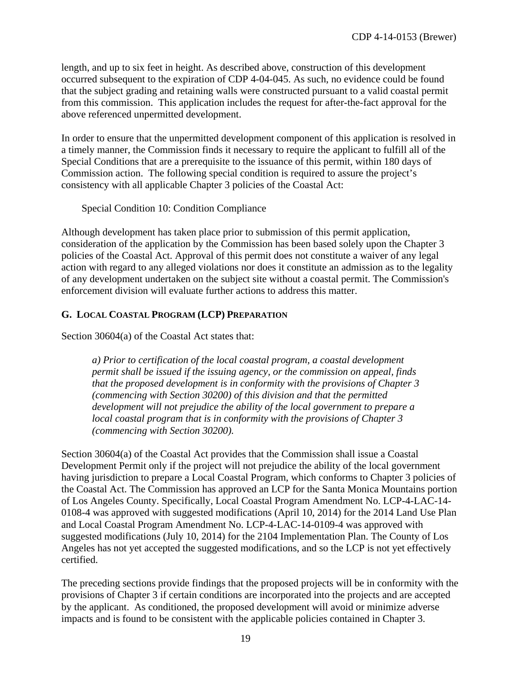length, and up to six feet in height. As described above, construction of this development occurred subsequent to the expiration of CDP 4-04-045. As such, no evidence could be found that the subject grading and retaining walls were constructed pursuant to a valid coastal permit from this commission. This application includes the request for after-the-fact approval for the above referenced unpermitted development.

In order to ensure that the unpermitted development component of this application is resolved in a timely manner, the Commission finds it necessary to require the applicant to fulfill all of the Special Conditions that are a prerequisite to the issuance of this permit, within 180 days of Commission action. The following special condition is required to assure the project's consistency with all applicable Chapter 3 policies of the Coastal Act:

Special Condition 10: Condition Compliance

Although development has taken place prior to submission of this permit application, consideration of the application by the Commission has been based solely upon the Chapter 3 policies of the Coastal Act. Approval of this permit does not constitute a waiver of any legal action with regard to any alleged violations nor does it constitute an admission as to the legality of any development undertaken on the subject site without a coastal permit. The Commission's enforcement division will evaluate further actions to address this matter.

#### <span id="page-18-0"></span>**G. LOCAL COASTAL PROGRAM (LCP) PREPARATION**

Section 30604(a) of the Coastal Act states that:

*a) Prior to certification of the local coastal program, a coastal development permit shall be issued if the issuing agency, or the commission on appeal, finds that the proposed development is in conformity with the provisions of Chapter 3 (commencing with Section 30200) of this division and that the permitted development will not prejudice the ability of the local government to prepare a local coastal program that is in conformity with the provisions of Chapter 3 (commencing with Section 30200).*

Section 30604(a) of the Coastal Act provides that the Commission shall issue a Coastal Development Permit only if the project will not prejudice the ability of the local government having jurisdiction to prepare a Local Coastal Program, which conforms to Chapter 3 policies of the Coastal Act. The Commission has approved an LCP for the Santa Monica Mountains portion of Los Angeles County. Specifically, Local Coastal Program Amendment No. LCP-4-LAC-14- 0108-4 was approved with suggested modifications (April 10, 2014) for the 2014 Land Use Plan and Local Coastal Program Amendment No. LCP-4-LAC-14-0109-4 was approved with suggested modifications (July 10, 2014) for the 2104 Implementation Plan. The County of Los Angeles has not yet accepted the suggested modifications, and so the LCP is not yet effectively certified.

The preceding sections provide findings that the proposed projects will be in conformity with the provisions of Chapter 3 if certain conditions are incorporated into the projects and are accepted by the applicant. As conditioned, the proposed development will avoid or minimize adverse impacts and is found to be consistent with the applicable policies contained in Chapter 3.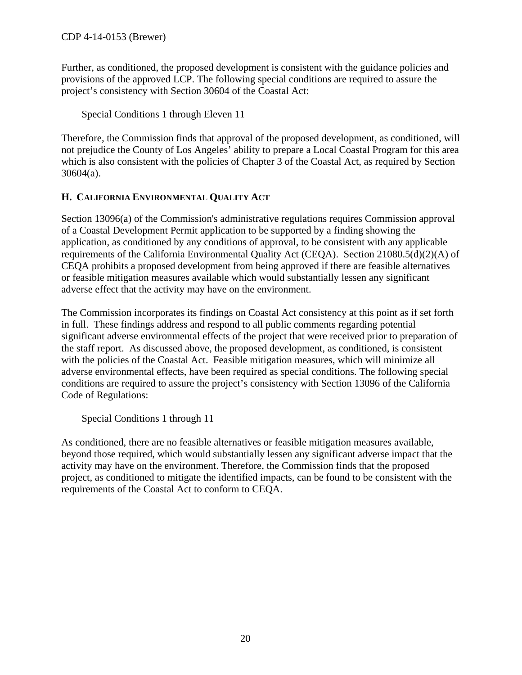Further, as conditioned, the proposed development is consistent with the guidance policies and provisions of the approved LCP. The following special conditions are required to assure the project's consistency with Section 30604 of the Coastal Act:

Special Conditions 1 through Eleven 11

Therefore, the Commission finds that approval of the proposed development, as conditioned, will not prejudice the County of Los Angeles' ability to prepare a Local Coastal Program for this area which is also consistent with the policies of Chapter 3 of the Coastal Act, as required by Section 30604(a).

#### <span id="page-19-0"></span>**H. CALIFORNIA ENVIRONMENTAL QUALITY ACT**

Section 13096(a) of the Commission's administrative regulations requires Commission approval of a Coastal Development Permit application to be supported by a finding showing the application, as conditioned by any conditions of approval, to be consistent with any applicable requirements of the California Environmental Quality Act (CEQA). Section 21080.5(d)(2)(A) of CEQA prohibits a proposed development from being approved if there are feasible alternatives or feasible mitigation measures available which would substantially lessen any significant adverse effect that the activity may have on the environment.

The Commission incorporates its findings on Coastal Act consistency at this point as if set forth in full. These findings address and respond to all public comments regarding potential significant adverse environmental effects of the project that were received prior to preparation of the staff report. As discussed above, the proposed development, as conditioned, is consistent with the policies of the Coastal Act. Feasible mitigation measures, which will minimize all adverse environmental effects, have been required as special conditions. The following special conditions are required to assure the project's consistency with Section 13096 of the California Code of Regulations:

Special Conditions 1 through 11

As conditioned, there are no feasible alternatives or feasible mitigation measures available, beyond those required, which would substantially lessen any significant adverse impact that the activity may have on the environment. Therefore, the Commission finds that the proposed project, as conditioned to mitigate the identified impacts, can be found to be consistent with the requirements of the Coastal Act to conform to CEQA.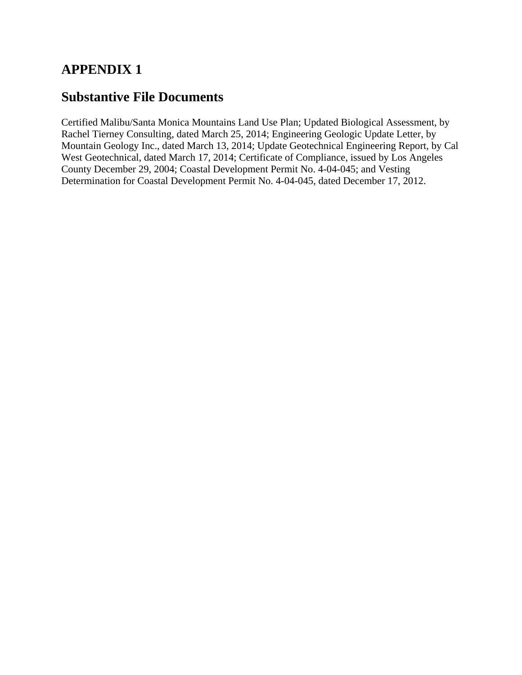# **APPENDIX 1**

# **Substantive File Documents**

Certified Malibu/Santa Monica Mountains Land Use Plan; Updated Biological Assessment, by Rachel Tierney Consulting, dated March 25, 2014; Engineering Geologic Update Letter, by Mountain Geology Inc., dated March 13, 2014; Update Geotechnical Engineering Report, by Cal West Geotechnical, dated March 17, 2014; Certificate of Compliance, issued by Los Angeles County December 29, 2004; Coastal Development Permit No. 4-04-045; and Vesting Determination for Coastal Development Permit No. 4-04-045, dated December 17, 2012.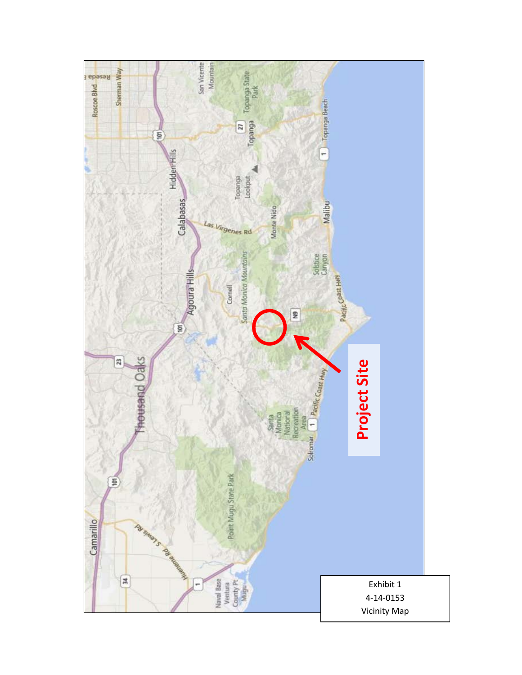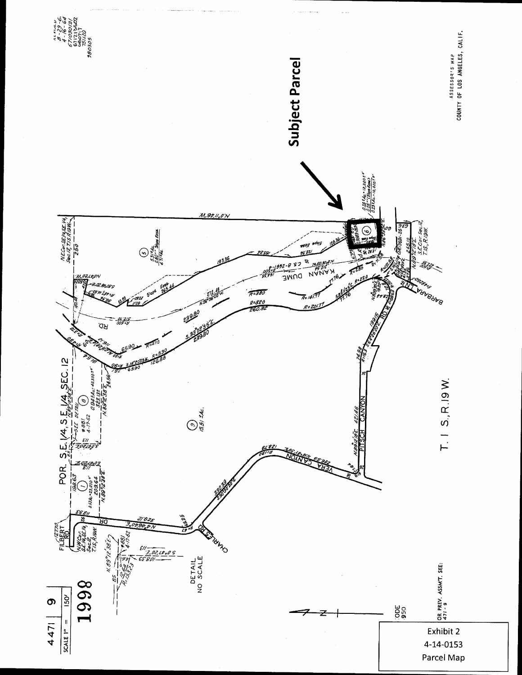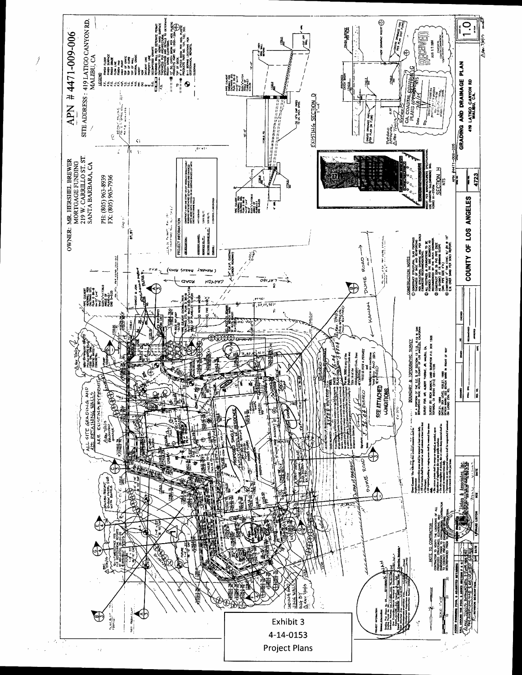

 $\int$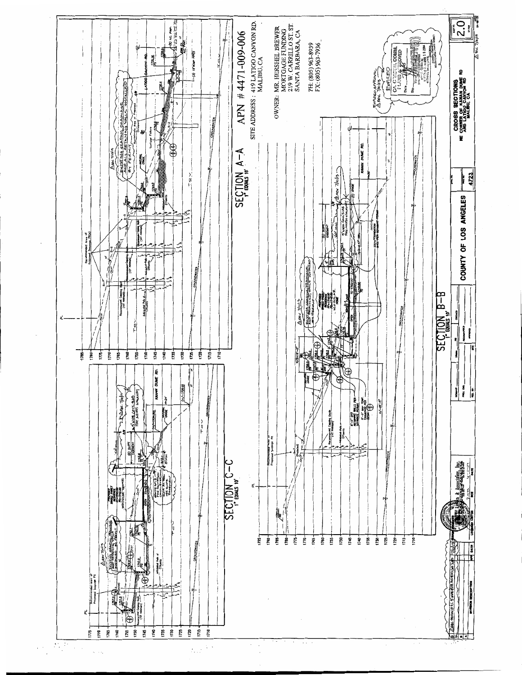

Λ.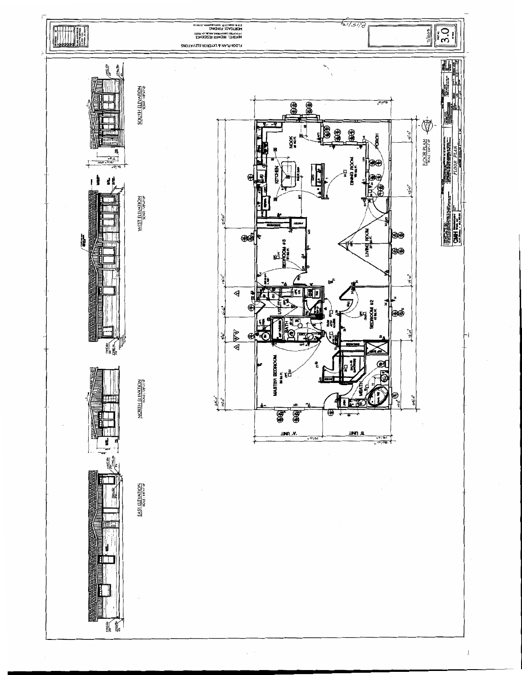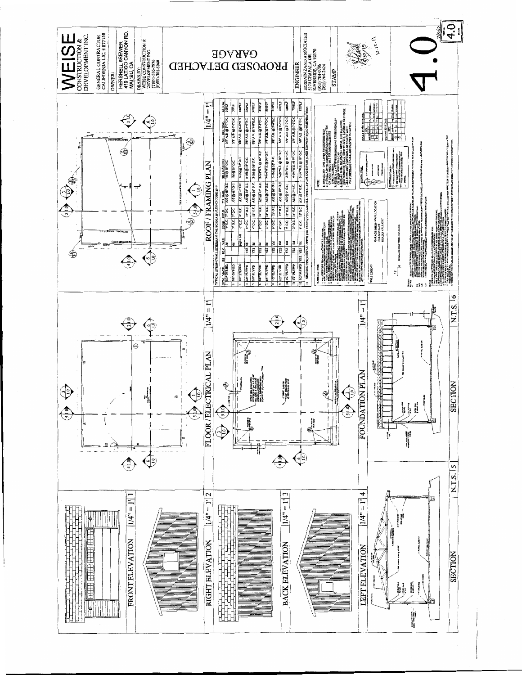